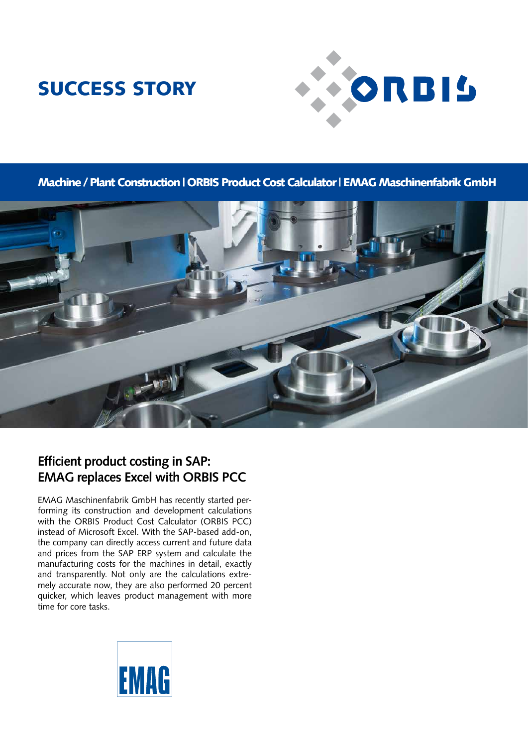## SUCCESS STORY



Machine / Plant Construction | ORBIS Product Cost Calculator | EMAG Maschinenfabrik GmbH



### **Efficient product costing in SAP: EMAG replaces Excel with ORBIS PCC**

EMAG Maschinenfabrik GmbH has recently started performing its construction and development calculations with the ORBIS Product Cost Calculator (ORBIS PCC) instead of Microsoft Excel. With the SAP-based add-on, the company can directly access current and future data and prices from the SAP ERP system and calculate the manufacturing costs for the machines in detail, exactly and transparently. Not only are the calculations extremely accurate now, they are also performed 20 percent quicker, which leaves product management with more time for core tasks.

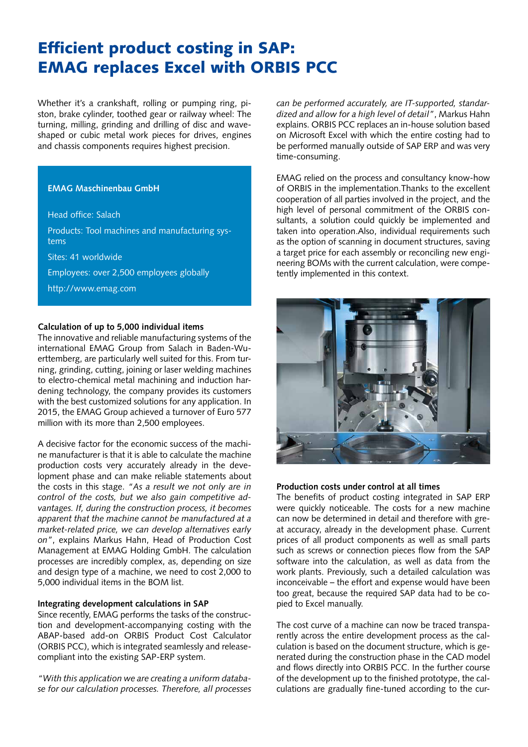### Efficient product costing in SAP: EMAG replaces Excel with ORBIS PCC

Whether it's a crankshaft, rolling or pumping ring, piston, brake cylinder, toothed gear or railway wheel: The turning, milling, grinding and drilling of disc and waveshaped or cubic metal work pieces for drives, engines and chassis components requires highest precision.

#### **EMAG Maschinenbau GmbH**

Head office: Salach

Products: Tool machines and manufacturing systems

Sites: 41 worldwide

Employees: over 2,500 employees globally

http://www.emag.com

#### **Calculation of up to 5,000 individual items**

The innovative and reliable manufacturing systems of the international EMAG Group from Salach in Baden-Wuerttemberg, are particularly well suited for this. From turning, grinding, cutting, joining or laser welding machines to electro-chemical metal machining and induction hardening technology, the company provides its customers with the best customized solutions for any application. In 2015, the EMAG Group achieved a turnover of Euro 577 million with its more than 2,500 employees.

A decisive factor for the economic success of the machine manufacturer is that it is able to calculate the machine production costs very accurately already in the development phase and can make reliable statements about the costs in this stage. *"As a result we not only are in control of the costs, but we also gain competitive advantages. If, during the construction process, it becomes apparent that the machine cannot be manufactured at a market-related price, we can develop alternatives early on"*, explains Markus Hahn, Head of Production Cost Management at EMAG Holding GmbH. The calculation processes are incredibly complex, as, depending on size and design type of a machine, we need to cost 2,000 to 5,000 individual items in the BOM list.

#### **Integrating development calculations in SAP**

Since recently, EMAG performs the tasks of the construction and development-accompanying costing with the ABAP-based add-on ORBIS Product Cost Calculator (ORBIS PCC), which is integrated seamlessly and releasecompliant into the existing SAP-ERP system.

*"With this application we are creating a uniform database for our calculation processes. Therefore, all processes*  *can be performed accurately, are IT-supported, standardized and allow for a high level of detail"*, Markus Hahn explains. ORBIS PCC replaces an in-house solution based on Microsoft Excel with which the entire costing had to be performed manually outside of SAP ERP and was very time-consuming.

EMAG relied on the process and consultancy know-how of ORBIS in the implementation.Thanks to the excellent cooperation of all parties involved in the project, and the high level of personal commitment of the ORBIS consultants, a solution could quickly be implemented and taken into operation.Also, individual requirements such as the option of scanning in document structures, saving a target price for each assembly or reconciling new engineering BOMs with the current calculation, were competently implemented in this context.



#### **Production costs under control at all times**

The benefits of product costing integrated in SAP ERP were quickly noticeable. The costs for a new machine can now be determined in detail and therefore with great accuracy, already in the development phase. Current prices of all product components as well as small parts such as screws or connection pieces flow from the SAP software into the calculation, as well as data from the work plants. Previously, such a detailed calculation was inconceivable – the effort and expense would have been too great, because the required SAP data had to be copied to Excel manually.

The cost curve of a machine can now be traced transparently across the entire development process as the calculation is based on the document structure, which is generated during the construction phase in the CAD model and flows directly into ORBIS PCC. In the further course of the development up to the finished prototype, the calculations are gradually fine-tuned according to the cur-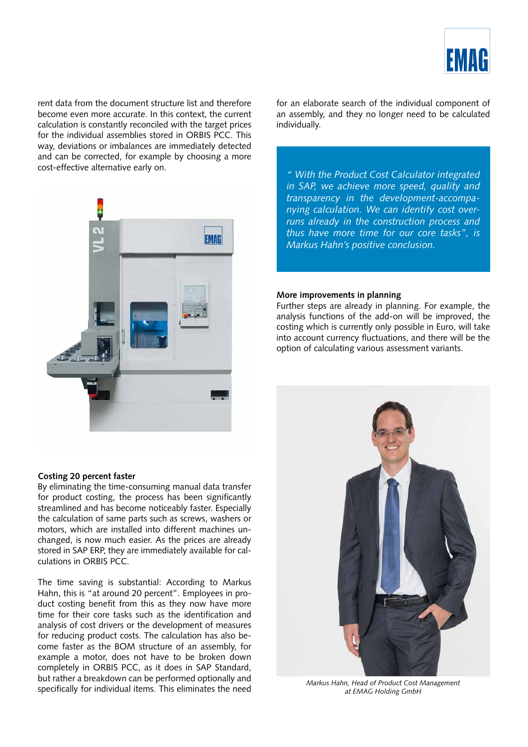

rent data from the document structure list and therefore become even more accurate. In this context, the current calculation is constantly reconciled with the target prices for the individual assemblies stored in ORBIS PCC. This way, deviations or imbalances are immediately detected and can be corrected, for example by choosing a more cost-effective alternative early on.



#### **Costing 20 percent faster**

By eliminating the time-consuming manual data transfer for product costing, the process has been significantly streamlined and has become noticeably faster. Especially the calculation of same parts such as screws, washers or motors, which are installed into different machines unchanged, is now much easier. As the prices are already stored in SAP ERP, they are immediately available for calculations in ORBIS PCC.

The time saving is substantial: According to Markus Hahn, this is "at around 20 percent". Employees in product costing benefit from this as they now have more time for their core tasks such as the identification and analysis of cost drivers or the development of measures for reducing product costs. The calculation has also become faster as the BOM structure of an assembly, for example a motor, does not have to be broken down completely in ORBIS PCC, as it does in SAP Standard, but rather a breakdown can be performed optionally and specifically for individual items. This eliminates the need for an elaborate search of the individual component of an assembly, and they no longer need to be calculated individually.

*" With the Product Cost Calculator integrated in SAP, we achieve more speed, quality and transparency in the development-accompanying calculation. We can identify cost overruns already in the construction process and thus have more time for our core tasks", is Markus Hahn's positive conclusion.*

#### **More improvements in planning**

Further steps are already in planning. For example, the analysis functions of the add-on will be improved, the costing which is currently only possible in Euro, will take into account currency fluctuations, and there will be the option of calculating various assessment variants.



*Markus Hahn, Head of Product Cost Management at EMAG Holding GmbH*